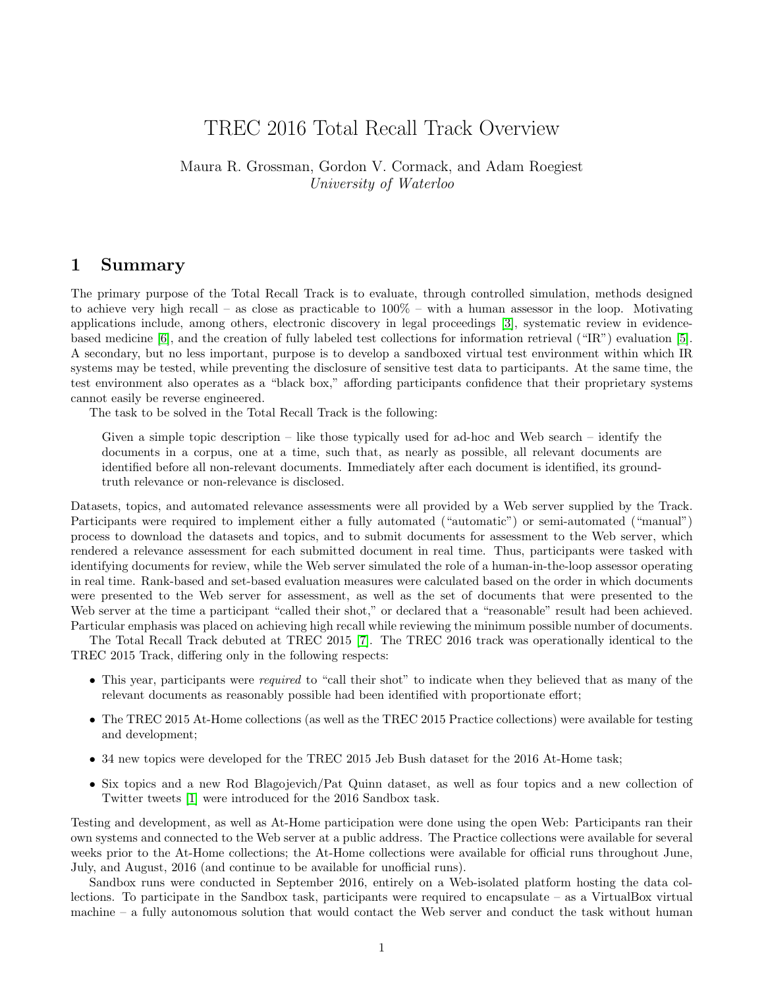# TREC 2016 Total Recall Track Overview

Maura R. Grossman, Gordon V. Cormack, and Adam Roegiest University of Waterloo

#### 1 Summary

The primary purpose of the Total Recall Track is to evaluate, through controlled simulation, methods designed to achieve very high recall – as close as practicable to 100% – with a human assessor in the loop. Motivating applications include, among others, electronic discovery in legal proceedings [\[3\]](#page-6-0), systematic review in evidencebased medicine [\[6\]](#page-6-1), and the creation of fully labeled test collections for information retrieval ("IR") evaluation [\[5\]](#page-6-2). A secondary, but no less important, purpose is to develop a sandboxed virtual test environment within which IR systems may be tested, while preventing the disclosure of sensitive test data to participants. At the same time, the test environment also operates as a "black box," affording participants confidence that their proprietary systems cannot easily be reverse engineered.

The task to be solved in the Total Recall Track is the following:

Given a simple topic description – like those typically used for ad-hoc and Web search – identify the documents in a corpus, one at a time, such that, as nearly as possible, all relevant documents are identified before all non-relevant documents. Immediately after each document is identified, its groundtruth relevance or non-relevance is disclosed.

Datasets, topics, and automated relevance assessments were all provided by a Web server supplied by the Track. Participants were required to implement either a fully automated ("automatic") or semi-automated ("manual") process to download the datasets and topics, and to submit documents for assessment to the Web server, which rendered a relevance assessment for each submitted document in real time. Thus, participants were tasked with identifying documents for review, while the Web server simulated the role of a human-in-the-loop assessor operating in real time. Rank-based and set-based evaluation measures were calculated based on the order in which documents were presented to the Web server for assessment, as well as the set of documents that were presented to the Web server at the time a participant "called their shot," or declared that a "reasonable" result had been achieved. Particular emphasis was placed on achieving high recall while reviewing the minimum possible number of documents.

The Total Recall Track debuted at TREC 2015 [\[7\]](#page-6-3). The TREC 2016 track was operationally identical to the TREC 2015 Track, differing only in the following respects:

- This year, participants were *required* to "call their shot" to indicate when they believed that as many of the relevant documents as reasonably possible had been identified with proportionate effort;
- The TREC 2015 At-Home collections (as well as the TREC 2015 Practice collections) were available for testing and development;
- 34 new topics were developed for the TREC 2015 Jeb Bush dataset for the 2016 At-Home task;
- Six topics and a new Rod Blagojevich/Pat Quinn dataset, as well as four topics and a new collection of Twitter tweets [\[1\]](#page-6-4) were introduced for the 2016 Sandbox task.

Testing and development, as well as At-Home participation were done using the open Web: Participants ran their own systems and connected to the Web server at a public address. The Practice collections were available for several weeks prior to the At-Home collections; the At-Home collections were available for official runs throughout June, July, and August, 2016 (and continue to be available for unofficial runs).

Sandbox runs were conducted in September 2016, entirely on a Web-isolated platform hosting the data collections. To participate in the Sandbox task, participants were required to encapsulate – as a VirtualBox virtual machine – a fully autonomous solution that would contact the Web server and conduct the task without human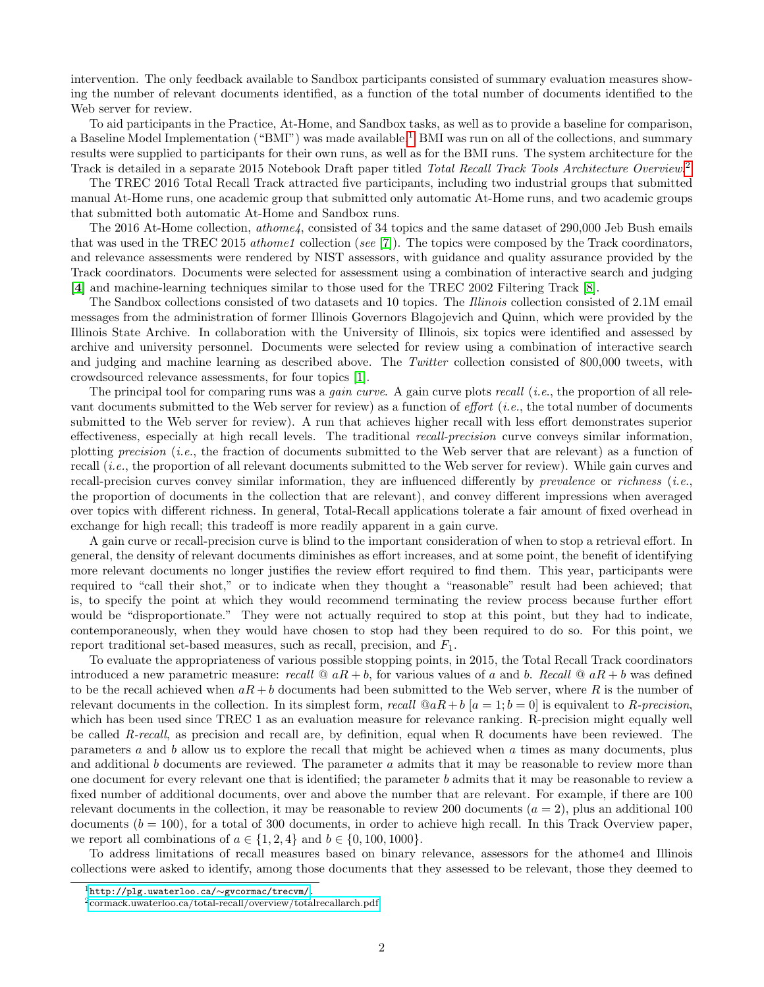intervention. The only feedback available to Sandbox participants consisted of summary evaluation measures showing the number of relevant documents identified, as a function of the total number of documents identified to the Web server for review.

To aid participants in the Practice, At-Home, and Sandbox tasks, as well as to provide a baseline for comparison, a Baseline Model Implementation ("BMI") was made available.<sup>[1](#page-1-0)</sup> BMI was run on all of the collections, and summary results were supplied to participants for their own runs, as well as for the BMI runs. The system architecture for the Track is detailed in a separate [2](#page-1-1)015 Notebook Draft paper titled Total Recall Track Tools Architecture Overview.<sup>2</sup>

The TREC 2016 Total Recall Track attracted five participants, including two industrial groups that submitted manual At-Home runs, one academic group that submitted only automatic At-Home runs, and two academic groups that submitted both automatic At-Home and Sandbox runs.

The 2016 At-Home collection, *athome4*, consisted of 34 topics and the same dataset of 290,000 Jeb Bush emails that was used in the TREC 2015 *athome1* collection (see [\[7\]](#page-6-3)). The topics were composed by the Track coordinators, and relevance assessments were rendered by NIST assessors, with guidance and quality assurance provided by the Track coordinators. Documents were selected for assessment using a combination of interactive search and judging [\[4\]](#page-6-5) and machine-learning techniques similar to those used for the TREC 2002 Filtering Track [\[8\]](#page-6-6).

The Sandbox collections consisted of two datasets and 10 topics. The Illinois collection consisted of 2.1M email messages from the administration of former Illinois Governors Blagojevich and Quinn, which were provided by the Illinois State Archive. In collaboration with the University of Illinois, six topics were identified and assessed by archive and university personnel. Documents were selected for review using a combination of interactive search and judging and machine learning as described above. The Twitter collection consisted of 800,000 tweets, with crowdsourced relevance assessments, for four topics [\[1\]](#page-6-4).

The principal tool for comparing runs was a *gain curve*. A gain curve plots *recall* (*i.e.*, the proportion of all relevant documents submitted to the Web server for review) as a function of *effort* (*i.e.*, the total number of documents submitted to the Web server for review). A run that achieves higher recall with less effort demonstrates superior effectiveness, especially at high recall levels. The traditional recall-precision curve conveys similar information, plotting precision (i.e., the fraction of documents submitted to the Web server that are relevant) as a function of recall *(i.e.*, the proportion of all relevant documents submitted to the Web server for review). While gain curves and recall-precision curves convey similar information, they are influenced differently by *prevalence* or *richness* (*i.e.*, the proportion of documents in the collection that are relevant), and convey different impressions when averaged over topics with different richness. In general, Total-Recall applications tolerate a fair amount of fixed overhead in exchange for high recall; this tradeoff is more readily apparent in a gain curve.

A gain curve or recall-precision curve is blind to the important consideration of when to stop a retrieval effort. In general, the density of relevant documents diminishes as effort increases, and at some point, the benefit of identifying more relevant documents no longer justifies the review effort required to find them. This year, participants were required to "call their shot," or to indicate when they thought a "reasonable" result had been achieved; that is, to specify the point at which they would recommend terminating the review process because further effort would be "disproportionate." They were not actually required to stop at this point, but they had to indicate, contemporaneously, when they would have chosen to stop had they been required to do so. For this point, we report traditional set-based measures, such as recall, precision, and  $F_1$ .

To evaluate the appropriateness of various possible stopping points, in 2015, the Total Recall Track coordinators introduced a new parametric measure: recall  $\mathbb{Q}$  aR + b, for various values of a and b. Recall  $\mathbb{Q}$  aR + b was defined to be the recall achieved when  $aR + b$  documents had been submitted to the Web server, where R is the number of relevant documents in the collection. In its simplest form, recall  $@aR + b [a = 1; b = 0]$  is equivalent to R-precision, which has been used since TREC 1 as an evaluation measure for relevance ranking. R-precision might equally well be called R-recall, as precision and recall are, by definition, equal when R documents have been reviewed. The parameters a and b allow us to explore the recall that might be achieved when a times as many documents, plus and additional b documents are reviewed. The parameter a admits that it may be reasonable to review more than one document for every relevant one that is identified; the parameter b admits that it may be reasonable to review a fixed number of additional documents, over and above the number that are relevant. For example, if there are 100 relevant documents in the collection, it may be reasonable to review 200 documents  $(a = 2)$ , plus an additional 100 documents  $(b = 100)$ , for a total of 300 documents, in order to achieve high recall. In this Track Overview paper, we report all combinations of  $a \in \{1, 2, 4\}$  and  $b \in \{0, 100, 1000\}$ .

To address limitations of recall measures based on binary relevance, assessors for the athome4 and Illinois collections were asked to identify, among those documents that they assessed to be relevant, those they deemed to

<span id="page-1-0"></span> $^{1}$ [http://plg.uwaterloo.ca/](http://plg.uwaterloo.ca/~gvcormac/trecvm/)∼gvcormac/trecvm/.

<span id="page-1-1"></span><sup>2</sup>[cormack.uwaterloo.ca/total-recall/overview/totalrecallarch.pdf.](http://cormack.uwaterloo.ca/total-recall/overview/totalrecallarch.pdf)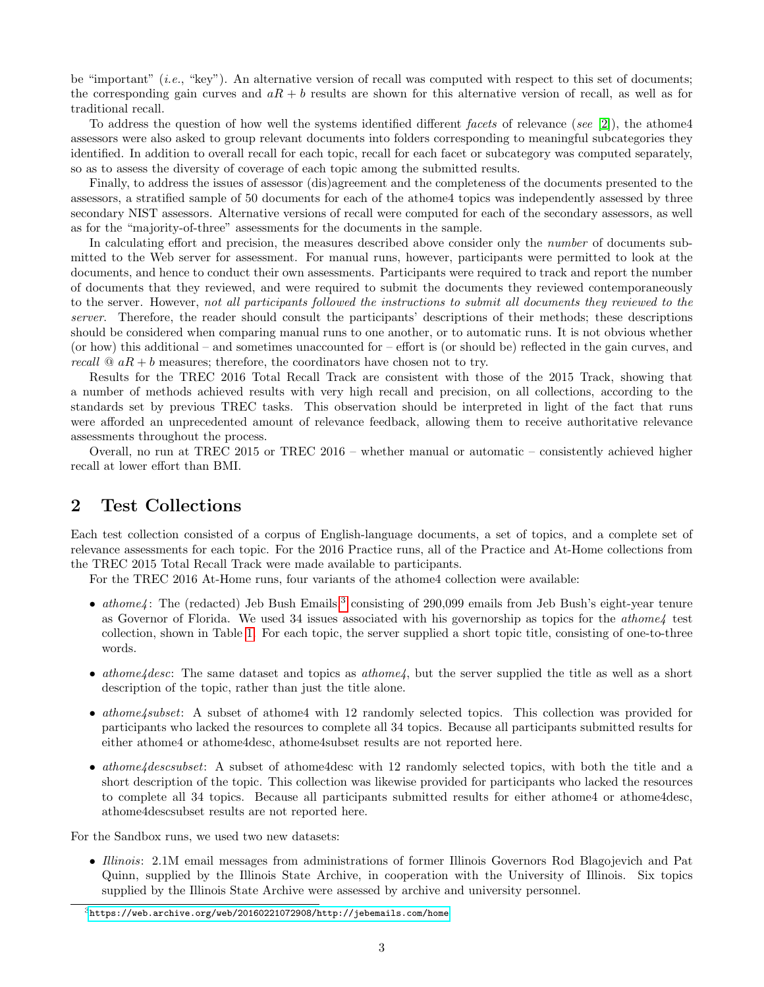be "important"  $(i.e., "key")$ . An alternative version of recall was computed with respect to this set of documents; the corresponding gain curves and  $aR + b$  results are shown for this alternative version of recall, as well as for traditional recall.

To address the question of how well the systems identified different facets of relevance (see [\[2\]](#page-6-7)), the athome4 assessors were also asked to group relevant documents into folders corresponding to meaningful subcategories they identified. In addition to overall recall for each topic, recall for each facet or subcategory was computed separately, so as to assess the diversity of coverage of each topic among the submitted results.

Finally, to address the issues of assessor (dis)agreement and the completeness of the documents presented to the assessors, a stratified sample of 50 documents for each of the athome4 topics was independently assessed by three secondary NIST assessors. Alternative versions of recall were computed for each of the secondary assessors, as well as for the "majority-of-three" assessments for the documents in the sample.

In calculating effort and precision, the measures described above consider only the *number* of documents submitted to the Web server for assessment. For manual runs, however, participants were permitted to look at the documents, and hence to conduct their own assessments. Participants were required to track and report the number of documents that they reviewed, and were required to submit the documents they reviewed contemporaneously to the server. However, not all participants followed the instructions to submit all documents they reviewed to the server. Therefore, the reader should consult the participants' descriptions of their methods; these descriptions should be considered when comparing manual runs to one another, or to automatic runs. It is not obvious whether (or how) this additional – and sometimes unaccounted for – effort is (or should be) reflected in the gain curves, and recall  $\mathcal{Q}$  aR + b measures; therefore, the coordinators have chosen not to try.

Results for the TREC 2016 Total Recall Track are consistent with those of the 2015 Track, showing that a number of methods achieved results with very high recall and precision, on all collections, according to the standards set by previous TREC tasks. This observation should be interpreted in light of the fact that runs were afforded an unprecedented amount of relevance feedback, allowing them to receive authoritative relevance assessments throughout the process.

Overall, no run at TREC 2015 or TREC 2016 – whether manual or automatic – consistently achieved higher recall at lower effort than BMI.

## 2 Test Collections

Each test collection consisted of a corpus of English-language documents, a set of topics, and a complete set of relevance assessments for each topic. For the 2016 Practice runs, all of the Practice and At-Home collections from the TREC 2015 Total Recall Track were made available to participants.

For the TREC 2016 At-Home runs, four variants of the athome4 collection were available:

- athome4: The (redacted) Jeb Bush Emails,<sup>[3](#page-2-0)</sup> consisting of 290,099 emails from Jeb Bush's eight-year tenure as Governor of Florida. We used 34 issues associated with his governorship as topics for the *athome*  $4$  test collection, shown in Table [1.](#page-3-0) For each topic, the server supplied a short topic title, consisting of one-to-three words.
- athome4 desc: The same dataset and topics as athome4, but the server supplied the title as well as a short description of the topic, rather than just the title alone.
- athome4subset: A subset of athome4 with 12 randomly selected topics. This collection was provided for participants who lacked the resources to complete all 34 topics. Because all participants submitted results for either athome4 or athome4desc, athome4subset results are not reported here.
- athome4descsubset: A subset of athome4desc with 12 randomly selected topics, with both the title and a short description of the topic. This collection was likewise provided for participants who lacked the resources to complete all 34 topics. Because all participants submitted results for either athome4 or athome4desc, athome4descsubset results are not reported here.

For the Sandbox runs, we used two new datasets:

• Illinois: 2.1M email messages from administrations of former Illinois Governors Rod Blagojevich and Pat Quinn, supplied by the Illinois State Archive, in cooperation with the University of Illinois. Six topics supplied by the Illinois State Archive were assessed by archive and university personnel.

<span id="page-2-0"></span> $3$ <https://web.archive.org/web/20160221072908/http://jebemails.com/home>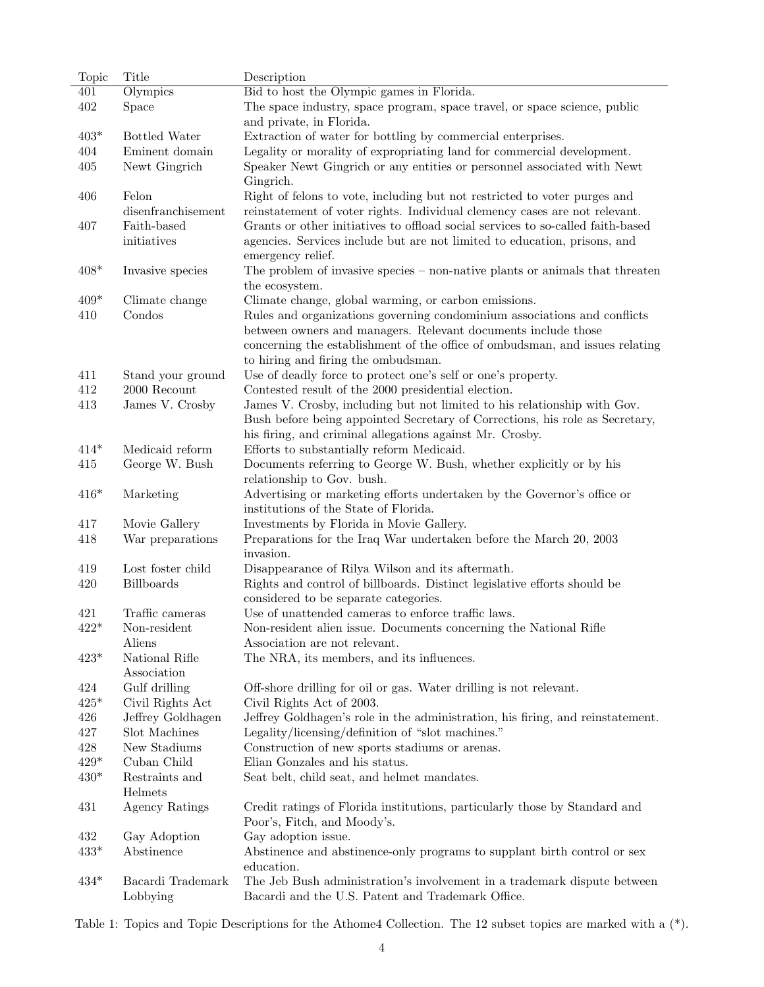<span id="page-3-0"></span>

| Bid to host the Olympic games in Florida.<br>401<br>Olympics<br>402<br>Space<br>The space industry, space program, space travel, or space science, public<br>and private, in Florida.<br>$403*$<br>Bottled Water<br>Extraction of water for bottling by commercial enterprises.<br>Eminent domain<br>Legality or morality of expropriating land for commercial development.<br>404<br>Newt Gingrich<br>Speaker Newt Gingrich or any entities or personnel associated with Newt<br>405<br>Gingrich.<br>Felon<br>Right of felons to vote, including but not restricted to voter purges and<br>406 |  |
|-------------------------------------------------------------------------------------------------------------------------------------------------------------------------------------------------------------------------------------------------------------------------------------------------------------------------------------------------------------------------------------------------------------------------------------------------------------------------------------------------------------------------------------------------------------------------------------------------|--|
|                                                                                                                                                                                                                                                                                                                                                                                                                                                                                                                                                                                                 |  |
|                                                                                                                                                                                                                                                                                                                                                                                                                                                                                                                                                                                                 |  |
|                                                                                                                                                                                                                                                                                                                                                                                                                                                                                                                                                                                                 |  |
|                                                                                                                                                                                                                                                                                                                                                                                                                                                                                                                                                                                                 |  |
|                                                                                                                                                                                                                                                                                                                                                                                                                                                                                                                                                                                                 |  |
|                                                                                                                                                                                                                                                                                                                                                                                                                                                                                                                                                                                                 |  |
|                                                                                                                                                                                                                                                                                                                                                                                                                                                                                                                                                                                                 |  |
| disenfranchisement<br>reinstatement of voter rights. Individual clemency cases are not relevant.                                                                                                                                                                                                                                                                                                                                                                                                                                                                                                |  |
| Faith-based<br>Grants or other initiatives to offload social services to so-called faith-based<br>407                                                                                                                                                                                                                                                                                                                                                                                                                                                                                           |  |
| initiatives<br>agencies. Services include but are not limited to education, prisons, and                                                                                                                                                                                                                                                                                                                                                                                                                                                                                                        |  |
| emergency relief.                                                                                                                                                                                                                                                                                                                                                                                                                                                                                                                                                                               |  |
| $408*$<br>Invasive species<br>The problem of invasive species $-$ non-native plants or animals that threaten                                                                                                                                                                                                                                                                                                                                                                                                                                                                                    |  |
| the ecosystem.                                                                                                                                                                                                                                                                                                                                                                                                                                                                                                                                                                                  |  |
| Climate change, global warming, or carbon emissions.<br>$409*$<br>Climate change                                                                                                                                                                                                                                                                                                                                                                                                                                                                                                                |  |
| Condos<br>Rules and organizations governing condominium associations and conflicts<br>410                                                                                                                                                                                                                                                                                                                                                                                                                                                                                                       |  |
| between owners and managers. Relevant documents include those                                                                                                                                                                                                                                                                                                                                                                                                                                                                                                                                   |  |
| concerning the establishment of the office of ombudsman, and issues relating                                                                                                                                                                                                                                                                                                                                                                                                                                                                                                                    |  |
| to hiring and firing the ombudsman.                                                                                                                                                                                                                                                                                                                                                                                                                                                                                                                                                             |  |
| Use of deadly force to protect one's self or one's property.<br>411<br>Stand your ground                                                                                                                                                                                                                                                                                                                                                                                                                                                                                                        |  |
| 412<br>$2000$ Recount<br>Contested result of the 2000 presidential election.                                                                                                                                                                                                                                                                                                                                                                                                                                                                                                                    |  |
| James V. Crosby<br>James V. Crosby, including but not limited to his relationship with Gov.<br>413                                                                                                                                                                                                                                                                                                                                                                                                                                                                                              |  |
| Bush before being appointed Secretary of Corrections, his role as Secretary,                                                                                                                                                                                                                                                                                                                                                                                                                                                                                                                    |  |
| his firing, and criminal allegations against Mr. Crosby.                                                                                                                                                                                                                                                                                                                                                                                                                                                                                                                                        |  |
| Medicaid reform<br>$414*$<br>Efforts to substantially reform Medicaid.                                                                                                                                                                                                                                                                                                                                                                                                                                                                                                                          |  |
| George W. Bush<br>415<br>Documents referring to George W. Bush, whether explicitly or by his                                                                                                                                                                                                                                                                                                                                                                                                                                                                                                    |  |
| relationship to Gov. bush.                                                                                                                                                                                                                                                                                                                                                                                                                                                                                                                                                                      |  |
| $416*$<br>Marketing<br>Advertising or marketing efforts undertaken by the Governor's office or                                                                                                                                                                                                                                                                                                                                                                                                                                                                                                  |  |
| institutions of the State of Florida.                                                                                                                                                                                                                                                                                                                                                                                                                                                                                                                                                           |  |
| Movie Gallery<br>Investments by Florida in Movie Gallery.<br>417                                                                                                                                                                                                                                                                                                                                                                                                                                                                                                                                |  |
| War preparations<br>Preparations for the Iraq War undertaken before the March 20, 2003<br>418<br>invasion.                                                                                                                                                                                                                                                                                                                                                                                                                                                                                      |  |
| Lost foster child<br>419<br>Disappearance of Rilya Wilson and its aftermath.                                                                                                                                                                                                                                                                                                                                                                                                                                                                                                                    |  |
| <b>Billboards</b><br>Rights and control of billboards. Distinct legislative efforts should be<br>420                                                                                                                                                                                                                                                                                                                                                                                                                                                                                            |  |
| considered to be separate categories.                                                                                                                                                                                                                                                                                                                                                                                                                                                                                                                                                           |  |
| Use of unattended cameras to enforce traffic laws.<br>Traffic cameras<br>421                                                                                                                                                                                                                                                                                                                                                                                                                                                                                                                    |  |
| $422*$<br>Non-resident<br>Non-resident alien issue. Documents concerning the National Rifle                                                                                                                                                                                                                                                                                                                                                                                                                                                                                                     |  |
| Aliens<br>Association are not relevant.                                                                                                                                                                                                                                                                                                                                                                                                                                                                                                                                                         |  |
| $423*$<br>National Rifle<br>The NRA, its members, and its influences.<br>Association                                                                                                                                                                                                                                                                                                                                                                                                                                                                                                            |  |
| 424<br>Gulf drilling<br>Off-shore drilling for oil or gas. Water drilling is not relevant.                                                                                                                                                                                                                                                                                                                                                                                                                                                                                                      |  |
| $425*$<br>Civil Rights Act of 2003.<br>Civil Rights Act                                                                                                                                                                                                                                                                                                                                                                                                                                                                                                                                         |  |
| 426<br>Jeffrey Goldhagen<br>Jeffrey Goldhagen's role in the administration, his firing, and reinstatement.                                                                                                                                                                                                                                                                                                                                                                                                                                                                                      |  |
| 427<br>Slot Machines<br>Legality/licensing/definition of "slot machines."                                                                                                                                                                                                                                                                                                                                                                                                                                                                                                                       |  |
| 428<br>New Stadiums<br>Construction of new sports stadiums or arenas.                                                                                                                                                                                                                                                                                                                                                                                                                                                                                                                           |  |
| $429*$<br>Cuban Child<br>Elian Gonzales and his status.                                                                                                                                                                                                                                                                                                                                                                                                                                                                                                                                         |  |
| $430*$<br>Restraints and<br>Seat belt, child seat, and helmet mandates.                                                                                                                                                                                                                                                                                                                                                                                                                                                                                                                         |  |
| Helmets                                                                                                                                                                                                                                                                                                                                                                                                                                                                                                                                                                                         |  |
| Agency Ratings<br>431<br>Credit ratings of Florida institutions, particularly those by Standard and                                                                                                                                                                                                                                                                                                                                                                                                                                                                                             |  |
| Poor's, Fitch, and Moody's.                                                                                                                                                                                                                                                                                                                                                                                                                                                                                                                                                                     |  |
| 432<br>Gay adoption issue.<br>Gay Adoption                                                                                                                                                                                                                                                                                                                                                                                                                                                                                                                                                      |  |
| $433*$<br>Abstinence<br>Abstinence and abstinence-only programs to supplant birth control or sex<br>education.                                                                                                                                                                                                                                                                                                                                                                                                                                                                                  |  |
| $434*$<br>Bacardi Trademark<br>The Jeb Bush administration's involvement in a trademark dispute between                                                                                                                                                                                                                                                                                                                                                                                                                                                                                         |  |
| Lobbying<br>Bacardi and the U.S. Patent and Trademark Office.                                                                                                                                                                                                                                                                                                                                                                                                                                                                                                                                   |  |

Table 1: Topics and Topic Descriptions for the Athome4 Collection. The 12 subset topics are marked with a (\*).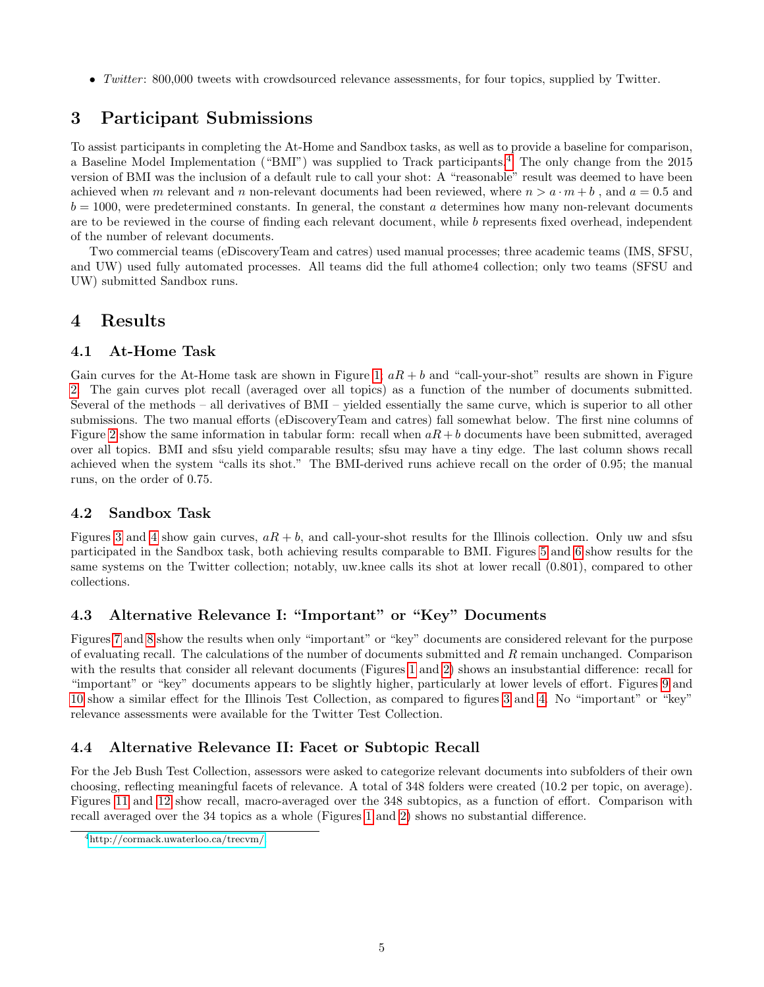• Twitter: 800,000 tweets with crowdsourced relevance assessments, for four topics, supplied by Twitter.

# 3 Participant Submissions

To assist participants in completing the At-Home and Sandbox tasks, as well as to provide a baseline for comparison, a Baseline Model Implementation ("BMI") was supplied to Track participants.[4](#page-4-0) The only change from the 2015 version of BMI was the inclusion of a default rule to call your shot: A "reasonable" result was deemed to have been achieved when m relevant and n non-relevant documents had been reviewed, where  $n > a \cdot m + b$ , and  $a = 0.5$  and  $b = 1000$ , were predetermined constants. In general, the constant a determines how many non-relevant documents are to be reviewed in the course of finding each relevant document, while b represents fixed overhead, independent of the number of relevant documents.

Two commercial teams (eDiscoveryTeam and catres) used manual processes; three academic teams (IMS, SFSU, and UW) used fully automated processes. All teams did the full athome4 collection; only two teams (SFSU and UW) submitted Sandbox runs.

## 4 Results

#### 4.1 At-Home Task

Gain curves for the At-Home task are shown in Figure [1;](#page-7-0)  $aR + b$  and "call-your-shot" results are shown in Figure [2.](#page-7-1) The gain curves plot recall (averaged over all topics) as a function of the number of documents submitted. Several of the methods – all derivatives of BMI – yielded essentially the same curve, which is superior to all other submissions. The two manual efforts (eDiscoveryTeam and catres) fall somewhat below. The first nine columns of Figure [2](#page-7-1) show the same information in tabular form: recall when  $aR + b$  documents have been submitted, averaged over all topics. BMI and sfsu yield comparable results; sfsu may have a tiny edge. The last column shows recall achieved when the system "calls its shot." The BMI-derived runs achieve recall on the order of 0.95; the manual runs, on the order of 0.75.

## 4.2 Sandbox Task

Figures [3](#page-8-0) and [4](#page-8-1) show gain curves,  $aR + b$ , and call-your-shot results for the Illinois collection. Only uw and sfsu participated in the Sandbox task, both achieving results comparable to BMI. Figures [5](#page-9-0) and [6](#page-9-1) show results for the same systems on the Twitter collection; notably, uw.knee calls its shot at lower recall  $(0.801)$ , compared to other collections.

## 4.3 Alternative Relevance I: "Important" or "Key" Documents

Figures [7](#page-10-0) and [8](#page-10-1) show the results when only "important" or "key" documents are considered relevant for the purpose of evaluating recall. The calculations of the number of documents submitted and R remain unchanged. Comparison with the results that consider all relevant documents (Figures [1](#page-7-0) and [2\)](#page-7-1) shows an insubstantial difference: recall for "important" or "key" documents appears to be slightly higher, particularly at lower levels of effort. Figures [9](#page-11-0) and [10](#page-11-1) show a similar effect for the Illinois Test Collection, as compared to figures [3](#page-8-0) and [4.](#page-8-1) No "important" or "key" relevance assessments were available for the Twitter Test Collection.

## 4.4 Alternative Relevance II: Facet or Subtopic Recall

For the Jeb Bush Test Collection, assessors were asked to categorize relevant documents into subfolders of their own choosing, reflecting meaningful facets of relevance. A total of 348 folders were created (10.2 per topic, on average). Figures [11](#page-12-0) and [12](#page-12-1) show recall, macro-averaged over the 348 subtopics, as a function of effort. Comparison with recall averaged over the 34 topics as a whole (Figures [1](#page-7-0) and [2\)](#page-7-1) shows no substantial difference.

<span id="page-4-0"></span><sup>4</sup>[http://cormack.uwaterloo.ca/trecvm/.](http://cormack.uwaterloo.ca/trecvm/)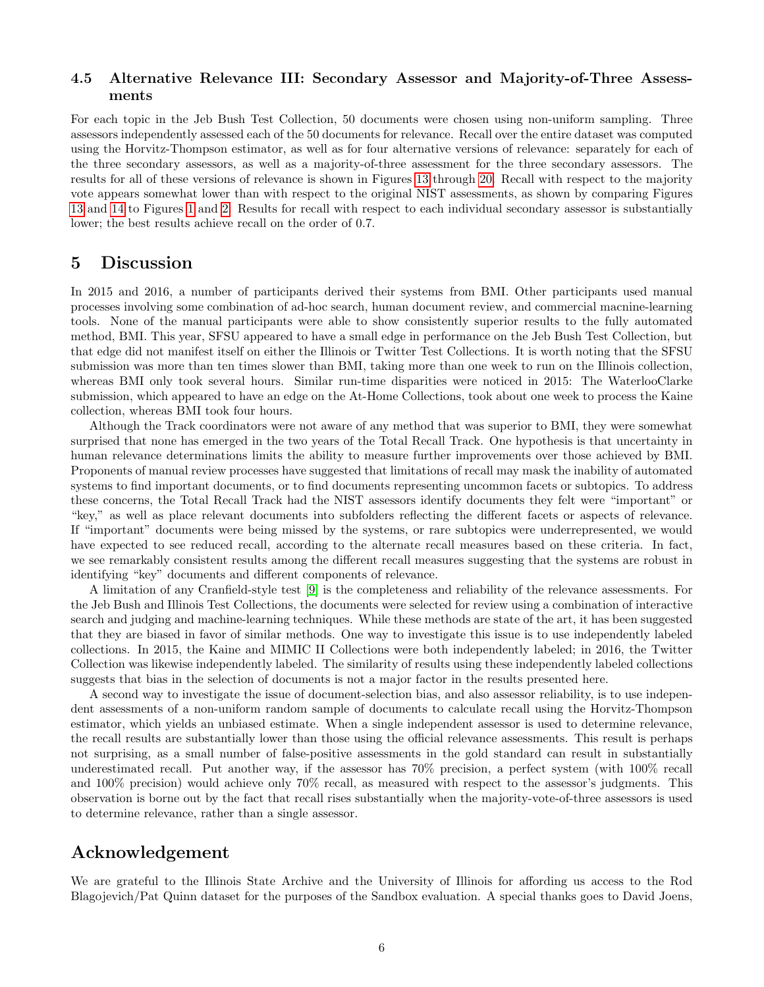#### 4.5 Alternative Relevance III: Secondary Assessor and Majority-of-Three Assessments

For each topic in the Jeb Bush Test Collection, 50 documents were chosen using non-uniform sampling. Three assessors independently assessed each of the 50 documents for relevance. Recall over the entire dataset was computed using the Horvitz-Thompson estimator, as well as for four alternative versions of relevance: separately for each of the three secondary assessors, as well as a majority-of-three assessment for the three secondary assessors. The results for all of these versions of relevance is shown in Figures [13](#page-13-0) through [20.](#page-16-0) Recall with respect to the majority vote appears somewhat lower than with respect to the original NIST assessments, as shown by comparing Figures [13](#page-13-0) and [14](#page-13-1) to Figures [1](#page-7-0) and [2.](#page-7-1) Results for recall with respect to each individual secondary assessor is substantially lower; the best results achieve recall on the order of 0.7.

#### 5 Discussion

In 2015 and 2016, a number of participants derived their systems from BMI. Other participants used manual processes involving some combination of ad-hoc search, human document review, and commercial macnine-learning tools. None of the manual participants were able to show consistently superior results to the fully automated method, BMI. This year, SFSU appeared to have a small edge in performance on the Jeb Bush Test Collection, but that edge did not manifest itself on either the Illinois or Twitter Test Collections. It is worth noting that the SFSU submission was more than ten times slower than BMI, taking more than one week to run on the Illinois collection, whereas BMI only took several hours. Similar run-time disparities were noticed in 2015: The WaterlooClarke submission, which appeared to have an edge on the At-Home Collections, took about one week to process the Kaine collection, whereas BMI took four hours.

Although the Track coordinators were not aware of any method that was superior to BMI, they were somewhat surprised that none has emerged in the two years of the Total Recall Track. One hypothesis is that uncertainty in human relevance determinations limits the ability to measure further improvements over those achieved by BMI. Proponents of manual review processes have suggested that limitations of recall may mask the inability of automated systems to find important documents, or to find documents representing uncommon facets or subtopics. To address these concerns, the Total Recall Track had the NIST assessors identify documents they felt were "important" or "key," as well as place relevant documents into subfolders reflecting the different facets or aspects of relevance. If "important" documents were being missed by the systems, or rare subtopics were underrepresented, we would have expected to see reduced recall, according to the alternate recall measures based on these criteria. In fact, we see remarkably consistent results among the different recall measures suggesting that the systems are robust in identifying "key" documents and different components of relevance.

A limitation of any Cranfield-style test [\[9\]](#page-6-8) is the completeness and reliability of the relevance assessments. For the Jeb Bush and Illinois Test Collections, the documents were selected for review using a combination of interactive search and judging and machine-learning techniques. While these methods are state of the art, it has been suggested that they are biased in favor of similar methods. One way to investigate this issue is to use independently labeled collections. In 2015, the Kaine and MIMIC II Collections were both independently labeled; in 2016, the Twitter Collection was likewise independently labeled. The similarity of results using these independently labeled collections suggests that bias in the selection of documents is not a major factor in the results presented here.

A second way to investigate the issue of document-selection bias, and also assessor reliability, is to use independent assessments of a non-uniform random sample of documents to calculate recall using the Horvitz-Thompson estimator, which yields an unbiased estimate. When a single independent assessor is used to determine relevance, the recall results are substantially lower than those using the official relevance assessments. This result is perhaps not surprising, as a small number of false-positive assessments in the gold standard can result in substantially underestimated recall. Put another way, if the assessor has 70% precision, a perfect system (with 100% recall and 100% precision) would achieve only 70% recall, as measured with respect to the assessor's judgments. This observation is borne out by the fact that recall rises substantially when the majority-vote-of-three assessors is used to determine relevance, rather than a single assessor.

# Acknowledgement

We are grateful to the Illinois State Archive and the University of Illinois for affording us access to the Rod Blagojevich/Pat Quinn dataset for the purposes of the Sandbox evaluation. A special thanks goes to David Joens,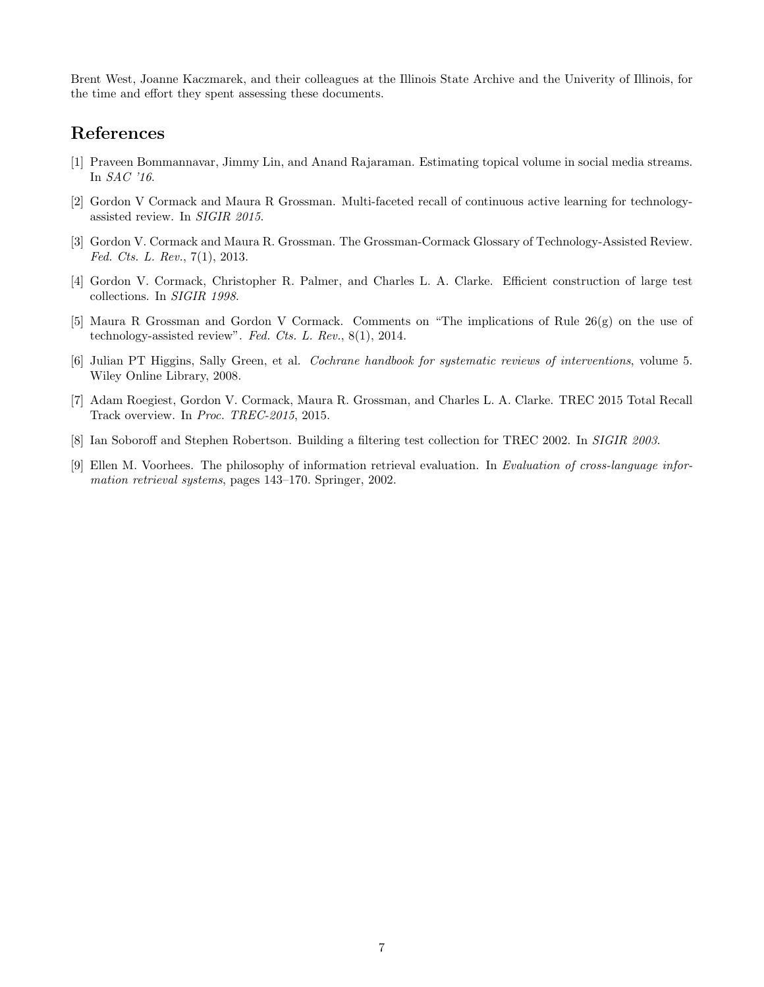Brent West, Joanne Kaczmarek, and their colleagues at the Illinois State Archive and the Univerity of Illinois, for the time and effort they spent assessing these documents.

## References

- <span id="page-6-4"></span>[1] Praveen Bommannavar, Jimmy Lin, and Anand Rajaraman. Estimating topical volume in social media streams. In SAC '16.
- <span id="page-6-7"></span>[2] Gordon V Cormack and Maura R Grossman. Multi-faceted recall of continuous active learning for technologyassisted review. In SIGIR 2015.
- <span id="page-6-0"></span>[3] Gordon V. Cormack and Maura R. Grossman. The Grossman-Cormack Glossary of Technology-Assisted Review. Fed. Cts. L. Rev., 7(1), 2013.
- <span id="page-6-5"></span>[4] Gordon V. Cormack, Christopher R. Palmer, and Charles L. A. Clarke. Efficient construction of large test collections. In SIGIR 1998.
- <span id="page-6-2"></span>[5] Maura R Grossman and Gordon V Cormack. Comments on "The implications of Rule 26(g) on the use of technology-assisted review". Fed. Cts. L. Rev., 8(1), 2014.
- <span id="page-6-1"></span>[6] Julian PT Higgins, Sally Green, et al. Cochrane handbook for systematic reviews of interventions, volume 5. Wiley Online Library, 2008.
- <span id="page-6-3"></span>[7] Adam Roegiest, Gordon V. Cormack, Maura R. Grossman, and Charles L. A. Clarke. TREC 2015 Total Recall Track overview. In Proc. TREC-2015, 2015.
- <span id="page-6-6"></span>[8] Ian Soboroff and Stephen Robertson. Building a filtering test collection for TREC 2002. In SIGIR 2003.
- <span id="page-6-8"></span>[9] Ellen M. Voorhees. The philosophy of information retrieval evaluation. In Evaluation of cross-language information retrieval systems, pages 143–170. Springer, 2002.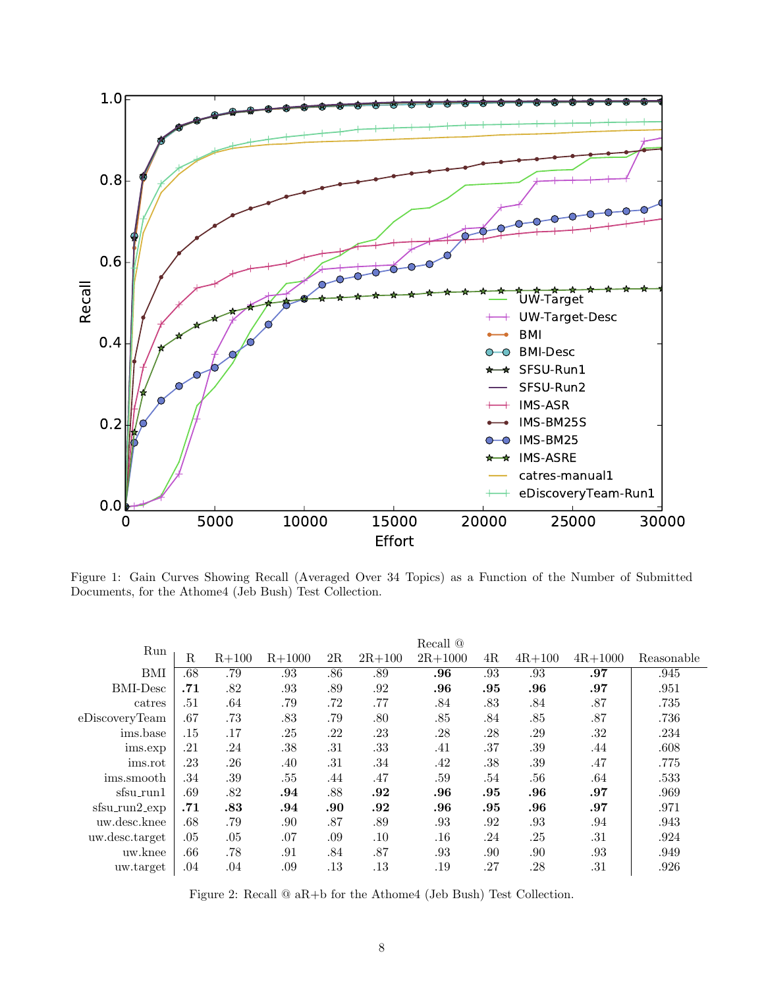<span id="page-7-0"></span>

Figure 1: Gain Curves Showing Recall (Averaged Over 34 Topics) as a Function of the Number of Submitted Documents, for the Athome4 (Jeb Bush) Test Collection.

<span id="page-7-1"></span>

| Run              |             |           |          |     |            | Recall $@$  |     |            |             |            |
|------------------|-------------|-----------|----------|-----|------------|-------------|-----|------------|-------------|------------|
|                  | $\mathbf R$ | $R + 100$ | $R+1000$ | 2R  | $2R + 100$ | $2R + 1000$ | 4R  | $4R + 100$ | $4R + 1000$ | Reasonable |
| BMI              | .68         | .79       | .93      | .86 | .89        | .96         | .93 | .93        | .97         | .945       |
| <b>BMI-Desc</b>  | .71         | .82       | .93      | .89 | .92        | .96         | .95 | .96        | .97         | .951       |
| catres           | .51         | .64       | .79      | .72 | .77        | .84         | .83 | .84        | $.87\,$     | .735       |
| eDiscoveryTeam   | .67         | .73       | .83      | .79 | .80        | .85         | .84 | .85        | .87         | .736       |
| ims.base         | .15         | .17       | .25      | .22 | .23        | .28         | .28 | .29        | .32         | .234       |
| ims.exp          | .21         | .24       | .38      | .31 | .33        | .41         | .37 | .39        | .44         | .608       |
| ims.rot          | .23         | .26       | .40      | .31 | .34        | .42         | .38 | .39        | .47         | .775       |
| ims.smooth       | .34         | .39       | .55      | .44 | .47        | .59         | .54 | .56        | .64         | .533       |
| sfsu_run1        | .69         | .82       | .94      | .88 | .92        | .96         | .95 | .96        | .97         | .969       |
| $s$ fsu_run2_exp | .71         | .83       | .94      | .90 | .92        | .96         | .95 | .96        | .97         | .971       |
| uw.desc.knee     | .68         | .79       | .90      | .87 | .89        | .93         | .92 | .93        | .94         | .943       |
| uw.desc.target   | .05         | .05       | .07      | .09 | .10        | .16         | .24 | .25        | .31         | .924       |
| uw.knee          | .66         | .78       | .91      | .84 | .87        | .93         | .90 | .90        | .93         | .949       |
| uw.target        | .04         | .04       | .09      | .13 | .13        | .19         | .27 | .28        | .31         | .926       |

Figure 2: Recall @ aR+b for the Athome4 (Jeb Bush) Test Collection.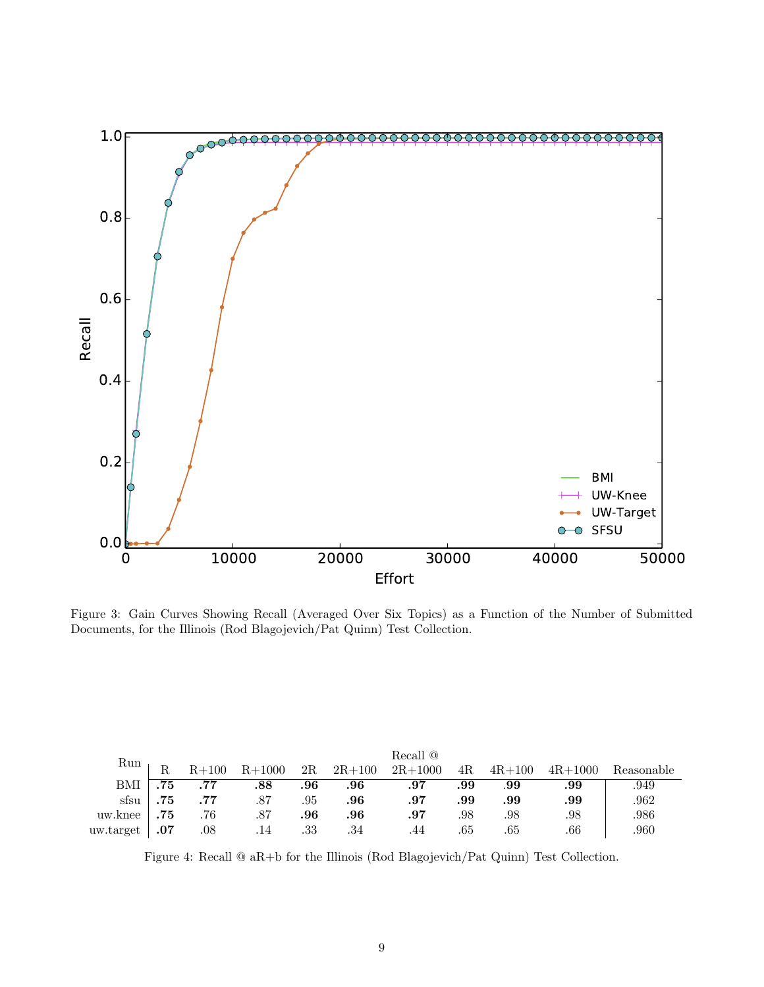<span id="page-8-0"></span>

Figure 3: Gain Curves Showing Recall (Averaged Over Six Topics) as a Function of the Number of Submitted Documents, for the Illinois (Rod Blagojevich/Pat Quinn) Test Collection.

<span id="page-8-1"></span>

|           |     | Recall $@$ |          |     |            |             |     |            |             |            |  |  |  |  |  |
|-----------|-----|------------|----------|-----|------------|-------------|-----|------------|-------------|------------|--|--|--|--|--|
| Run       |     | $R + 100$  | $R+1000$ | 2R  | $2R + 100$ | $2R + 1000$ | 4R  | $4R + 100$ | $4R + 1000$ | Reasonable |  |  |  |  |  |
| BMI       | .75 | .77        | .88      | .96 | .96        | .97         | .99 | .99        | .99         | .949       |  |  |  |  |  |
| sfsu      | .75 | .77        | .87      | .95 | .96        | .97         | .99 | .99        | .99         | .962       |  |  |  |  |  |
| uw.knee   | .75 | .76        | .87      | .96 | .96        | .97         | .98 | .98        | .98         | .986       |  |  |  |  |  |
| uw.target | .07 | $.08\,$    | .14      | .33 | .34        | .44         | .65 | .65        | .66         | .960       |  |  |  |  |  |

Figure 4: Recall @ aR+b for the Illinois (Rod Blagojevich/Pat Quinn) Test Collection.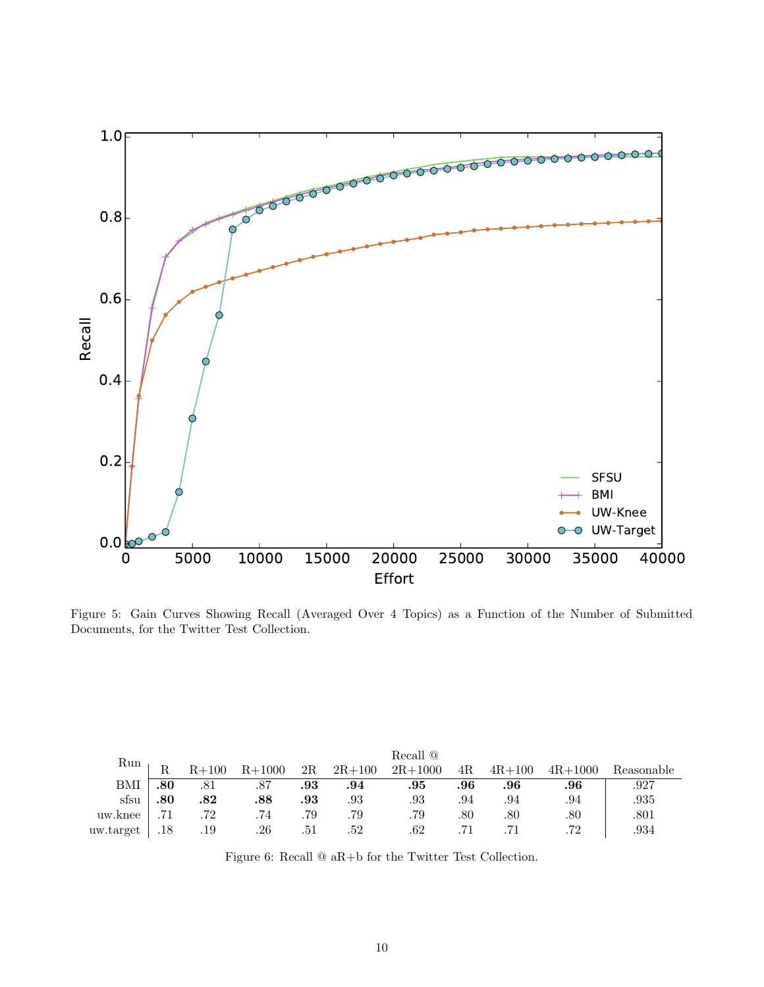<span id="page-9-0"></span>

Figure 5: Gain Curves Showing Recall (Averaged Over 4 Topics) as a Function of the Number of Submitted Documents, for the Twitter Test Collection.

<span id="page-9-1"></span>

|           |     | Recall @  |          |         |            |             |     |            |             |            |  |  |  |  |  |
|-----------|-----|-----------|----------|---------|------------|-------------|-----|------------|-------------|------------|--|--|--|--|--|
| Run       |     | $R + 100$ | $R+1000$ | 2R      | $2R + 100$ | $2R + 1000$ | 4R  | $4R + 100$ | $4R + 1000$ | Reasonable |  |  |  |  |  |
| BMI       | .80 | .81       | .87      | $.93\,$ | .94        | .95         | .96 | .96        | .96         | .927       |  |  |  |  |  |
| sfsu      | .80 | .82       | .88      | .93     | .93        | .93         | .94 | .94        | .94         | .935       |  |  |  |  |  |
| uw.knee   |     | 72        | .74      | .79     | .79        | .79         | .80 | .80        | .80         | .801       |  |  |  |  |  |
| uw.target | .18 | .19       | .26      | .51     | .52        | .62         |     |            | 79          | .934       |  |  |  |  |  |

Figure 6: Recall @ aR+b for the Twitter Test Collection.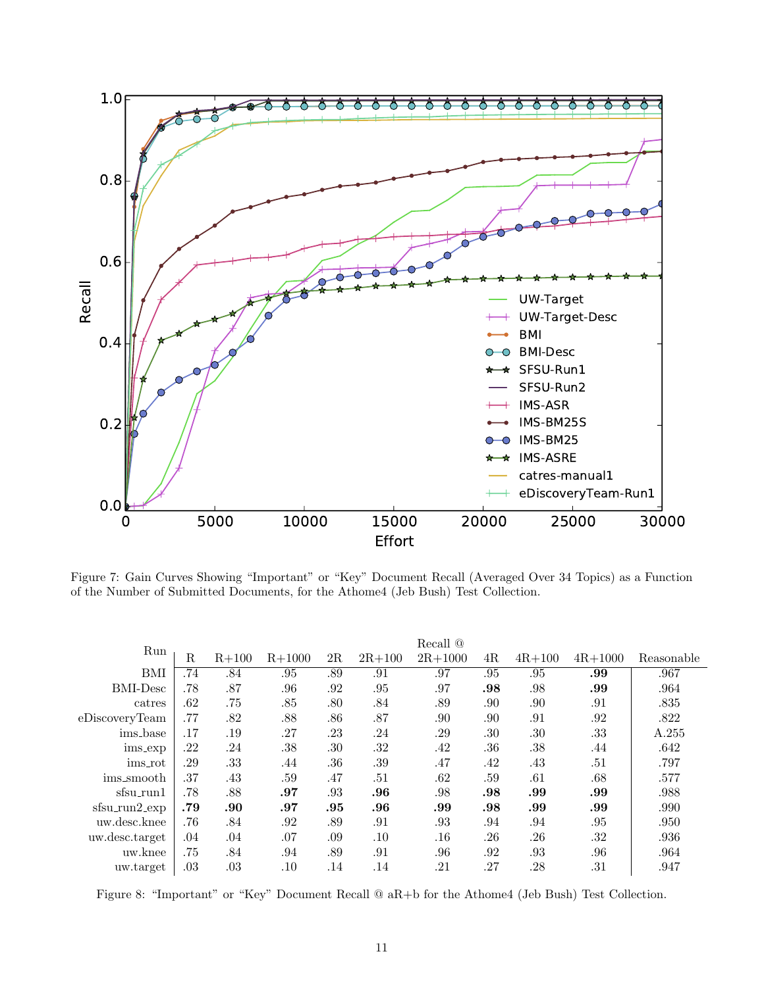<span id="page-10-0"></span>

Figure 7: Gain Curves Showing "Important" or "Key" Document Recall (Averaged Over 34 Topics) as a Function of the Number of Submitted Documents, for the Athome4 (Jeb Bush) Test Collection.

<span id="page-10-1"></span>

|                  |             |           |          |     |            | Recall $@$  |     |            |             |            |
|------------------|-------------|-----------|----------|-----|------------|-------------|-----|------------|-------------|------------|
| Run              | $\mathbf R$ | $R + 100$ | $R+1000$ | 2R  | $2R + 100$ | $2R + 1000$ | 4R  | $4R + 100$ | $4R + 1000$ | Reasonable |
| BMI              | .74         | .84       | .95      | .89 | .91        | .97         | .95 | .95        | .99         | .967       |
| <b>BMI-Desc</b>  | .78         | .87       | .96      | .92 | .95        | .97         | .98 | .98        | .99         | .964       |
| catres           | .62         | .75       | .85      | .80 | .84        | .89         | .90 | .90        | .91         | .835       |
| eDiscoveryTeam   | .77         | .82       | .88      | .86 | .87        | .90         | .90 | .91        | .92         | .822       |
| ims_base         | .17         | .19       | .27      | .23 | .24        | .29         | .30 | .30        | .33         | A.255      |
| ims_exp          | .22         | .24       | .38      | .30 | .32        | .42         | .36 | .38        | .44         | .642       |
| ims_rot          | .29         | .33       | .44      | .36 | .39        | .47         | .42 | .43        | .51         | .797       |
| ims_smooth       | .37         | .43       | .59      | .47 | .51        | .62         | .59 | .61        | .68         | .577       |
| sfsu_run1        | .78         | .88       | .97      | .93 | .96        | .98         | .98 | .99        | .99         | .988       |
| $s$ fsu_run2_exp | .79         | .90       | .97      | .95 | .96        | .99         | .98 | .99        | .99         | .990       |
| uw.desc.knee     | .76         | .84       | .92      | .89 | .91        | .93         | .94 | .94        | .95         | .950       |
| uw.desc.target   | .04         | .04       | .07      | .09 | .10        | .16         | .26 | .26        | .32         | .936       |
| uw.knee          | .75         | .84       | .94      | .89 | .91        | .96         | .92 | .93        | .96         | .964       |
| uw.target        | .03         | .03       | $.10\,$  | .14 | .14        | .21         | .27 | .28        | .31         | .947       |

Figure 8: "Important" or "Key" Document Recall @ aR+b for the Athome4 (Jeb Bush) Test Collection.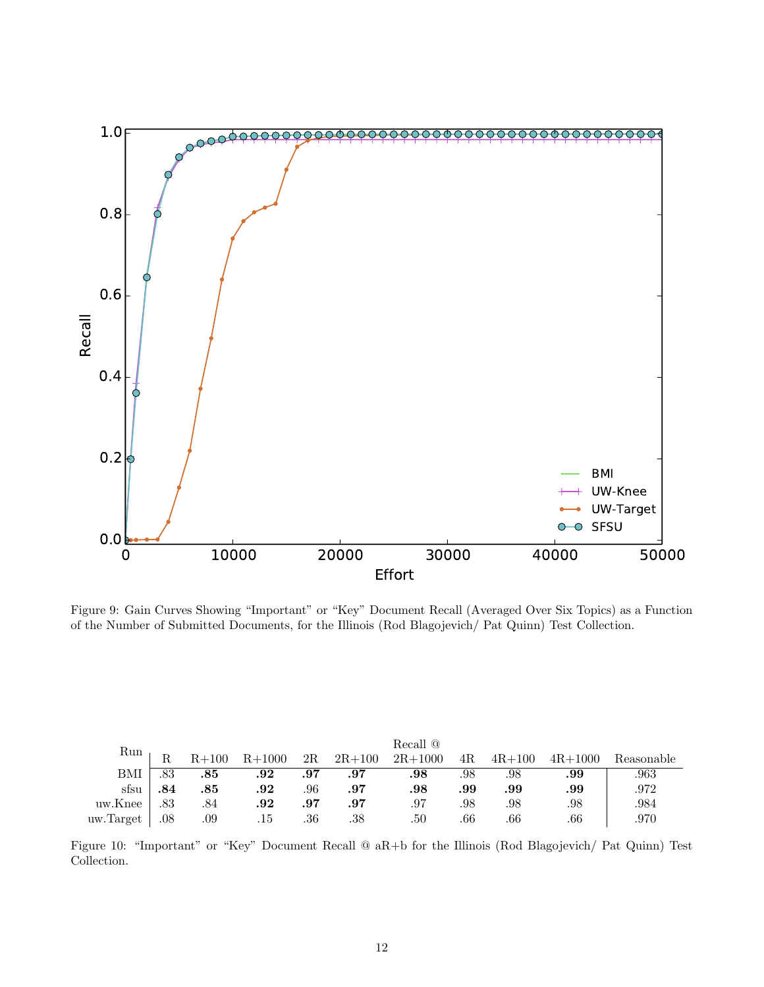<span id="page-11-0"></span>

Figure 9: Gain Curves Showing "Important" or "Key" Document Recall (Averaged Over Six Topics) as a Function of the Number of Submitted Documents, for the Illinois (Rod Blagojevich/ Pat Quinn) Test Collection.

<span id="page-11-1"></span>

|           |     | Recall <sup>@</sup> |          |     |            |             |     |            |             |            |  |  |  |  |  |
|-----------|-----|---------------------|----------|-----|------------|-------------|-----|------------|-------------|------------|--|--|--|--|--|
| Run       |     | $R+100$             | $R+1000$ | 2R  | $2R + 100$ | $2R + 1000$ | 4R. | $4R + 100$ | $4R + 1000$ | Reasonable |  |  |  |  |  |
| BMI       | 83  | .85                 | .92      | .97 | .97        | .98         | .98 | .98        | .99         | .963       |  |  |  |  |  |
| sfsu      | .84 | .85                 | $.92\,$  | .96 | .97        | .98         | .99 | .99        | .99         | .972       |  |  |  |  |  |
| uw.Knee   | .83 | .84                 | $.92\,$  | .97 | .97        | .97         | .98 | .98        | .98         | .984       |  |  |  |  |  |
| uw.Target | .08 | .09                 | .15      | .36 | .38        | .50         | .66 | .66        | .66         | .970       |  |  |  |  |  |

Figure 10: "Important" or "Key" Document Recall @ aR+b for the Illinois (Rod Blagojevich/ Pat Quinn) Test Collection.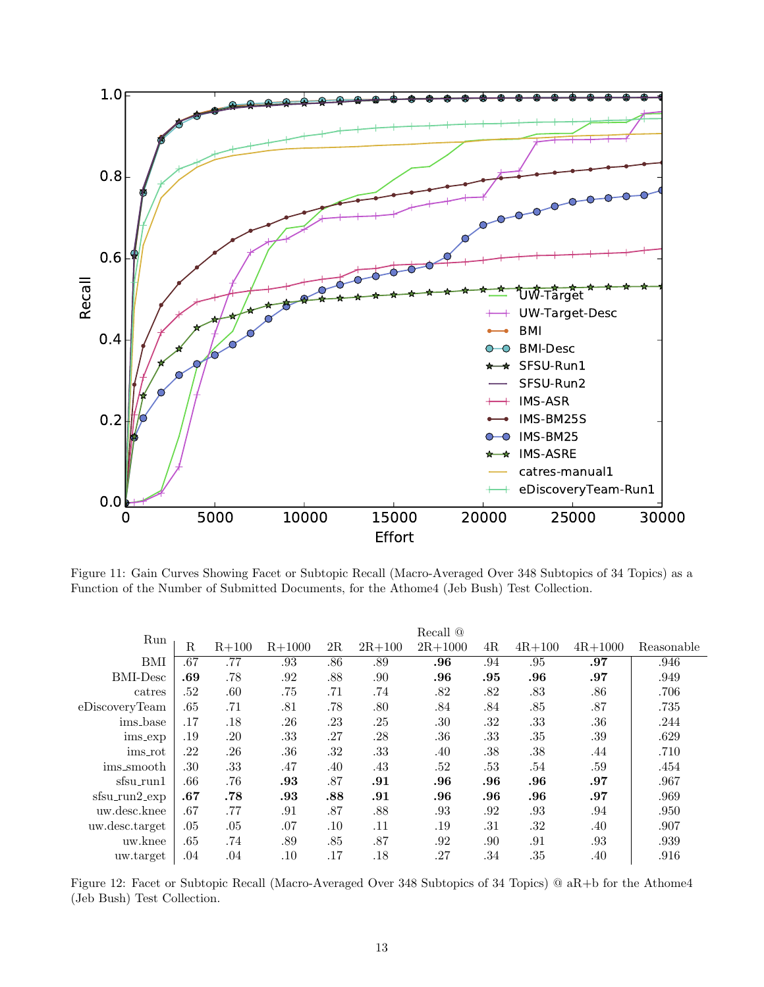<span id="page-12-0"></span>

Figure 11: Gain Curves Showing Facet or Subtopic Recall (Macro-Averaged Over 348 Subtopics of 34 Topics) as a Function of the Number of Submitted Documents, for the Athome4 (Jeb Bush) Test Collection.

<span id="page-12-1"></span>

|                  | Recall $@$  |           |          |     |            |             |     |            |             |            |  |  |
|------------------|-------------|-----------|----------|-----|------------|-------------|-----|------------|-------------|------------|--|--|
| Run              | $\mathbf R$ | $R + 100$ | $R+1000$ | 2R  | $2R + 100$ | $2R + 1000$ | 4R  | $4R + 100$ | $4R + 1000$ | Reasonable |  |  |
| BMI              | .67         | .77       | .93      | .86 | .89        | .96         | .94 | .95        | .97         | .946       |  |  |
| <b>BMI-Desc</b>  | .69         | .78       | .92      | .88 | .90        | .96         | .95 | .96        | .97         | .949       |  |  |
| catres           | .52         | $.60\,$   | .75      | .71 | .74        | .82         | .82 | .83        | .86         | .706       |  |  |
| eDiscoveryTeam   | .65         | .71       | .81      | .78 | .80        | .84         | .84 | .85        | .87         | .735       |  |  |
| ims_base         | .17         | .18       | .26      | .23 | .25        | .30         | .32 | .33        | .36         | .244       |  |  |
| ims_exp          | .19         | .20       | .33      | .27 | .28        | .36         | .33 | .35        | .39         | .629       |  |  |
| ims_rot          | .22         | .26       | .36      | .32 | .33        | .40         | .38 | .38        | .44         | .710       |  |  |
| ims_smooth       | .30         | .33       | .47      | .40 | .43        | .52         | .53 | .54        | .59         | .454       |  |  |
| sfsu_run1        | .66         | .76       | .93      | .87 | .91        | .96         | .96 | .96        | .97         | .967       |  |  |
| $s$ fsu_run2_exp | .67         | .78       | .93      | .88 | .91        | .96         | .96 | .96        | .97         | .969       |  |  |
| uw.desc.knee     | .67         | .77       | .91      | .87 | .88        | .93         | .92 | .93        | .94         | .950       |  |  |
| uw.desc.target   | .05         | $.05\,$   | .07      | .10 | .11        | .19         | .31 | .32        | .40         | .907       |  |  |
| uw.knee          | .65         | .74       | .89      | .85 | .87        | .92         | .90 | .91        | .93         | .939       |  |  |
| uw.target        | .04         | .04       | .10      | .17 | .18        | .27         | .34 | .35        | .40         | .916       |  |  |

Figure 12: Facet or Subtopic Recall (Macro-Averaged Over 348 Subtopics of 34 Topics) @ aR+b for the Athome4 (Jeb Bush) Test Collection.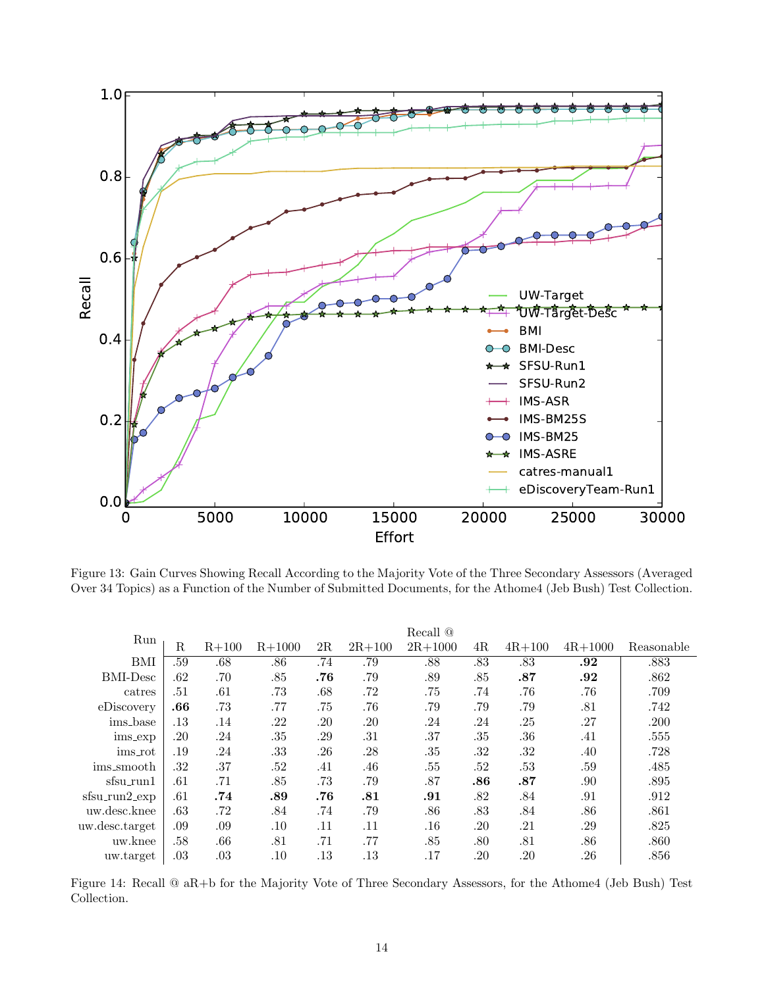<span id="page-13-0"></span>![](_page_13_Figure_0.jpeg)

Figure 13: Gain Curves Showing Recall According to the Majority Vote of the Three Secondary Assessors (Averaged Over 34 Topics) as a Function of the Number of Submitted Documents, for the Athome4 (Jeb Bush) Test Collection.

<span id="page-13-1"></span>

|                      |     |           |          |     |            | Recall @    |     |            |             |            |
|----------------------|-----|-----------|----------|-----|------------|-------------|-----|------------|-------------|------------|
| Run                  | R   | $R + 100$ | $R+1000$ | 2R  | $2R + 100$ | $2R + 1000$ | 4R  | $4R + 100$ | $4R + 1000$ | Reasonable |
| BMI                  | .59 | .68       | .86      | .74 | .79        | .88         | .83 | .83        | .92         | .883       |
| <b>BMI-Desc</b>      | .62 | .70       | .85      | .76 | .79        | .89         | .85 | .87        | .92         | .862       |
| catres               | .51 | .61       | .73      | .68 | .72        | .75         | .74 | .76        | .76         | .709       |
| eDiscovery           | .66 | .73       | .77      | .75 | .76        | .79         | .79 | .79        | .81         | .742       |
| ims_base             | .13 | .14       | .22      | .20 | .20        | .24         | .24 | .25        | .27         | .200       |
| ims_exp              | .20 | .24       | .35      | .29 | .31        | .37         | .35 | .36        | .41         | .555       |
| ims_rot              | .19 | .24       | .33      | .26 | .28        | .35         | .32 | .32        | .40         | .728       |
| ims_smooth           | .32 | .37       | .52      | .41 | .46        | .55         | .52 | .53        | .59         | .485       |
| sfsu_run1            | .61 | .71       | .85      | .73 | .79        | .87         | .86 | .87        | .90         | .895       |
| $s$ fsu_run $2$ _exp | .61 | .74       | .89      | .76 | .81        | .91         | .82 | .84        | .91         | .912       |
| uw.desc.knee         | .63 | .72       | .84      | .74 | .79        | .86         | .83 | .84        | .86         | .861       |
| uw.desc.target       | .09 | .09       | $.10\,$  | .11 | .11        | $.16\,$     | .20 | .21        | .29         | .825       |
| uw.knee              | .58 | .66       | .81      | .71 | .77        | .85         | .80 | .81        | .86         | .860       |
| uw.target            | .03 | .03       | $.10\,$  | .13 | .13        | .17         | .20 | .20        | $.26\,$     | .856       |

Figure 14: Recall @ aR+b for the Majority Vote of Three Secondary Assessors, for the Athome4 (Jeb Bush) Test Collection.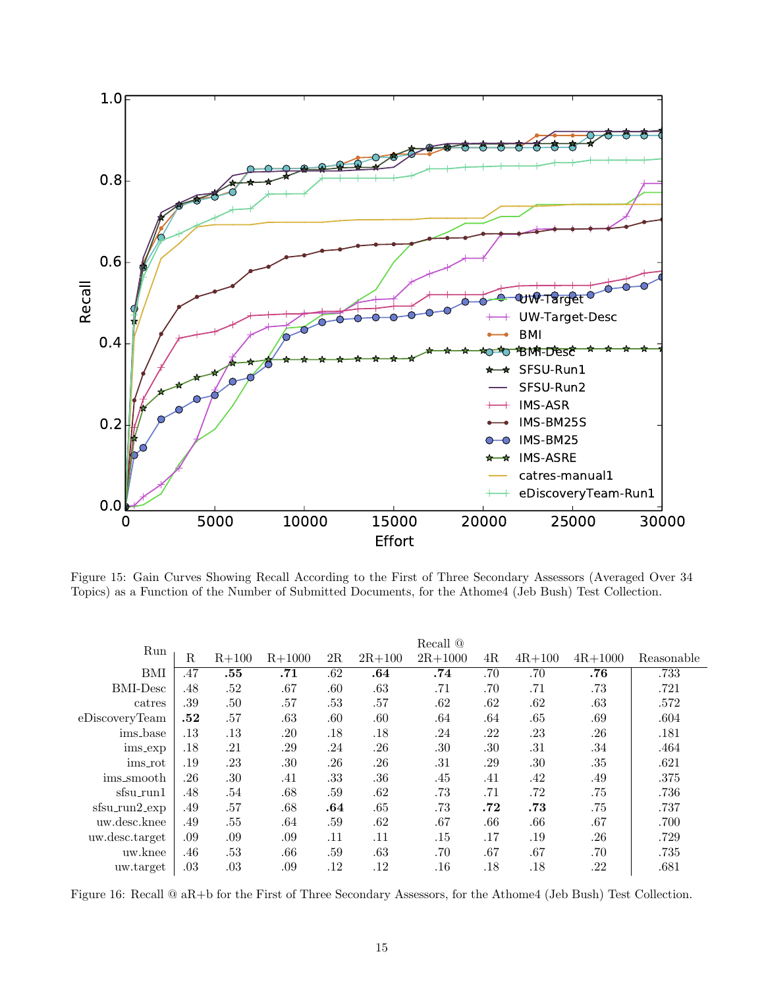![](_page_14_Figure_0.jpeg)

Figure 15: Gain Curves Showing Recall According to the First of Three Secondary Assessors (Averaged Over 34 Topics) as a Function of the Number of Submitted Documents, for the Athome4 (Jeb Bush) Test Collection.

| Run                  |             |           |          |         |            | Recall @    |     |            |             |            |
|----------------------|-------------|-----------|----------|---------|------------|-------------|-----|------------|-------------|------------|
|                      | $\mathbf R$ | $R + 100$ | $R+1000$ | 2R      | $2R + 100$ | $2R + 1000$ | 4R  | $4R + 100$ | $4R + 1000$ | Reasonable |
| BMI                  | .47         | .55       | .71      | .62     | .64        | .74         | .70 | .70        | .76         | .733       |
| <b>BMI-Desc</b>      | .48         | .52       | .67      | $.60\,$ | .63        | .71         | .70 | .71        | .73         | .721       |
| catres               | .39         | .50       | .57      | .53     | .57        | .62         | .62 | .62        | .63         | .572       |
| eDiscoveryTeam       | .52         | .57       | .63      | .60     | .60        | .64         | .64 | .65        | .69         | .604       |
| ims_base             | .13         | .13       | .20      | .18     | .18        | .24         | .22 | .23        | .26         | .181       |
| ims_exp              | .18         | .21       | .29      | .24     | .26        | .30         | .30 | .31        | .34         | .464       |
| ims_rot              | .19         | .23       | .30      | $.26\,$ | .26        | .31         | .29 | .30        | .35         | .621       |
| ims_smooth           | .26         | .30       | .41      | .33     | $.36\,$    | .45         | .41 | .42        | .49         | .375       |
| sfsu_run1            | .48         | .54       | .68      | .59     | .62        | .73         | .71 | .72        | .75         | .736       |
| $s$ fsu_run $2$ _exp | .49         | .57       | .68      | .64     | .65        | .73         | .72 | .73        | .75         | .737       |
| uw.desc.knee         | .49         | .55       | .64      | .59     | .62        | .67         | .66 | .66        | .67         | .700       |
| uw.desc.target       | .09         | .09       | .09      | .11     | .11        | .15         | .17 | .19        | .26         | .729       |
| uw.knee              | .46         | .53       | .66      | .59     | .63        | .70         | .67 | .67        | .70         | .735       |
| uw.target            | .03         | .03       | .09      | .12     | .12        | .16         | .18 | .18        | .22         | .681       |

Figure 16: Recall @ aR+b for the First of Three Secondary Assessors, for the Athome4 (Jeb Bush) Test Collection.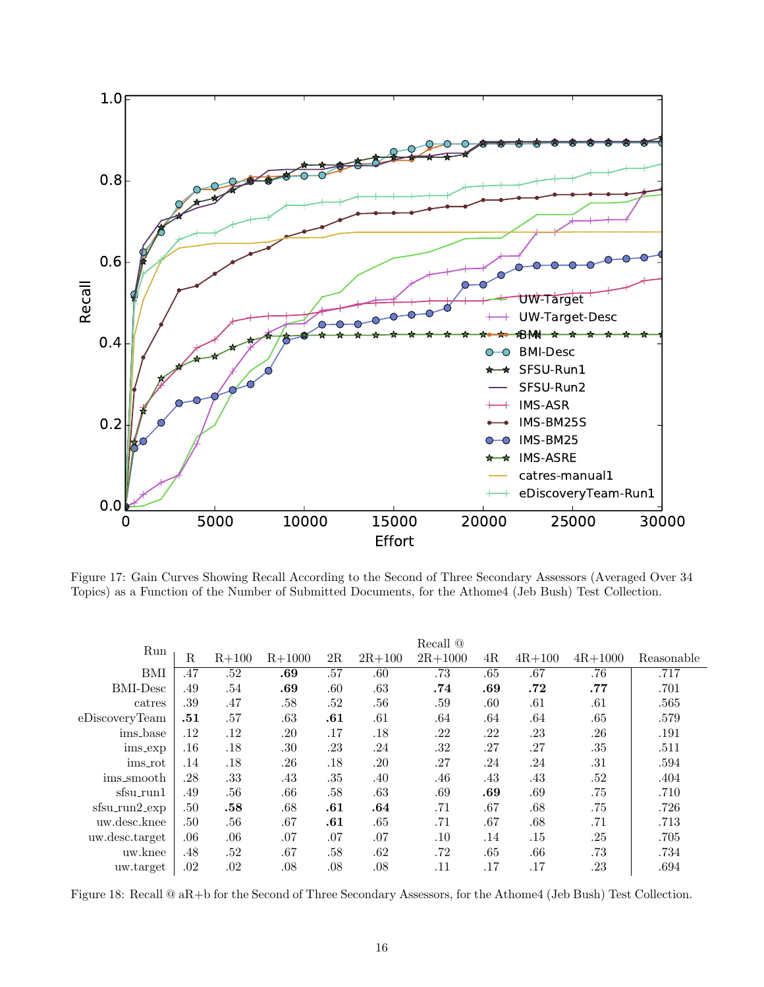![](_page_15_Figure_0.jpeg)

Figure 17: Gain Curves Showing Recall According to the Second of Three Secondary Assessors (Averaged Over 34 Topics) as a Function of the Number of Submitted Documents, for the Athome4 (Jeb Bush) Test Collection.

|                      |             |           |          |         |            | Recall $@$  |     |            |             |            |
|----------------------|-------------|-----------|----------|---------|------------|-------------|-----|------------|-------------|------------|
| Run                  | $\mathbf R$ | $R + 100$ | $R+1000$ | 2R      | $2R + 100$ | $2R + 1000$ | 4R  | $4R + 100$ | $4R + 1000$ | Reasonable |
| BMI                  | .47         | .52       | .69      | .57     | .60        | .73         | .65 | .67        | .76         | .717       |
| <b>BMI-Desc</b>      | .49         | .54       | .69      | $.60\,$ | .63        | .74         | .69 | .72        | .77         | .701       |
| catres               | .39         | .47       | .58      | .52     | .56        | .59         | .60 | .61        | .61         | .565       |
| eDiscoveryTeam       | .51         | .57       | .63      | .61     | .61        | .64         | .64 | .64        | .65         | .579       |
| ims_base             | .12         | .12       | .20      | .17     | .18        | .22         | .22 | .23        | .26         | .191       |
| ims_exp              | .16         | .18       | .30      | .23     | .24        | .32         | .27 | .27        | .35         | .511       |
| ims_rot              | .14         | .18       | .26      | .18     | .20        | .27         | .24 | .24        | .31         | .594       |
| ims_smooth           | .28         | .33       | .43      | .35     | .40        | .46         | .43 | .43        | .52         | .404       |
| sfsu_run1            | .49         | .56       | .66      | .58     | .63        | .69         | .69 | .69        | .75         | .710       |
| $s$ fsu_run $2$ _exp | .50         | .58       | .68      | .61     | .64        | .71         | .67 | .68        | .75         | .726       |
| uw.desc.knee         | .50         | .56       | .67      | .61     | .65        | .71         | .67 | .68        | .71         | .713       |
| uw.desc.target       | .06         | .06       | .07      | .07     | .07        | .10         | .14 | .15        | .25         | .705       |
| uw.knee              | .48         | .52       | .67      | .58     | .62        | .72         | .65 | .66        | .73         | .734       |
| uw.target            | .02         | .02       | .08      | .08     | .08        | .11         | .17 | .17        | .23         | .694       |

Figure 18: Recall @ aR+b for the Second of Three Secondary Assessors, for the Athome4 (Jeb Bush) Test Collection.